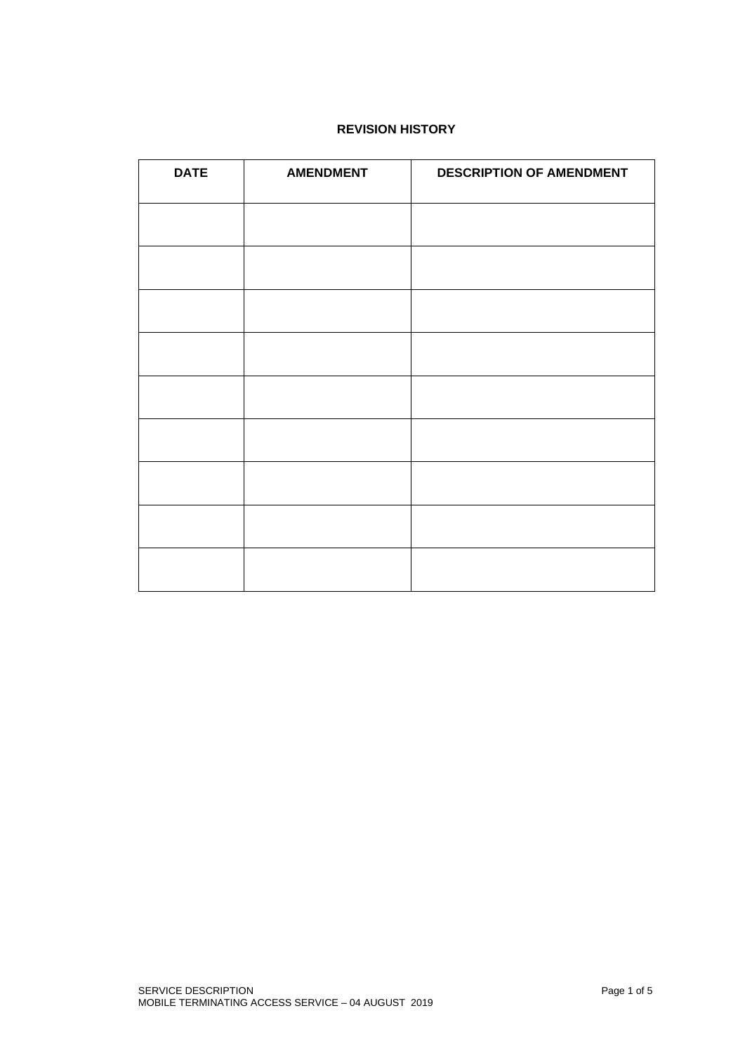# **REVISION HISTORY**

| <b>DATE</b> | <b>AMENDMENT</b> | <b>DESCRIPTION OF AMENDMENT</b> |
|-------------|------------------|---------------------------------|
|             |                  |                                 |
|             |                  |                                 |
|             |                  |                                 |
|             |                  |                                 |
|             |                  |                                 |
|             |                  |                                 |
|             |                  |                                 |
|             |                  |                                 |
|             |                  |                                 |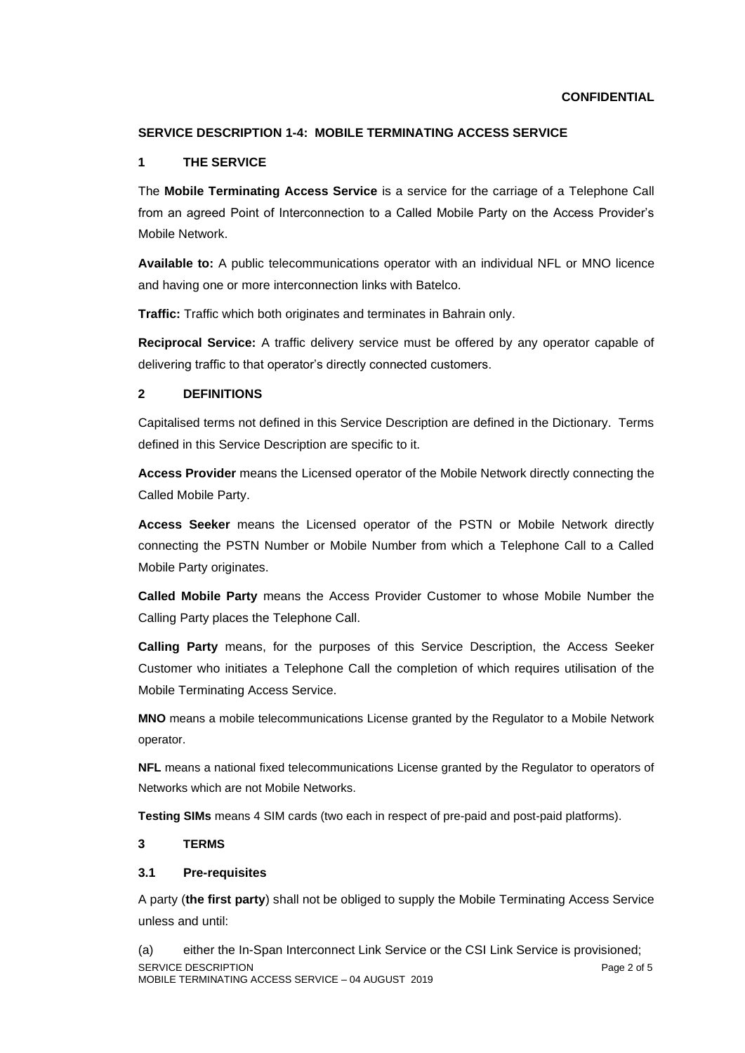#### **CONFIDENTIAL**

## **SERVICE DESCRIPTION 1-4: MOBILE TERMINATING ACCESS SERVICE**

#### **1 THE SERVICE**

The **Mobile Terminating Access Service** is a service for the carriage of a Telephone Call from an agreed Point of Interconnection to a Called Mobile Party on the Access Provider's Mobile Network.

**Available to:** A public telecommunications operator with an individual NFL or MNO licence and having one or more interconnection links with Batelco.

**Traffic:** Traffic which both originates and terminates in Bahrain only.

**Reciprocal Service:** A traffic delivery service must be offered by any operator capable of delivering traffic to that operator's directly connected customers.

#### **2 DEFINITIONS**

Capitalised terms not defined in this Service Description are defined in the Dictionary. Terms defined in this Service Description are specific to it.

**Access Provider** means the Licensed operator of the Mobile Network directly connecting the Called Mobile Party.

**Access Seeker** means the Licensed operator of the PSTN or Mobile Network directly connecting the PSTN Number or Mobile Number from which a Telephone Call to a Called Mobile Party originates.

**Called Mobile Party** means the Access Provider Customer to whose Mobile Number the Calling Party places the Telephone Call.

**Calling Party** means, for the purposes of this Service Description, the Access Seeker Customer who initiates a Telephone Call the completion of which requires utilisation of the Mobile Terminating Access Service.

**MNO** means a mobile telecommunications License granted by the Regulator to a Mobile Network operator.

**NFL** means a national fixed telecommunications License granted by the Regulator to operators of Networks which are not Mobile Networks.

**Testing SIMs** means 4 SIM cards (two each in respect of pre-paid and post-paid platforms).

## **3 TERMS**

#### **3.1 Pre-requisites**

A party (**the first party**) shall not be obliged to supply the Mobile Terminating Access Service unless and until:

SERVICE DESCRIPTION **Page 2 of 5** MOBILE TERMINATING ACCESS SERVICE – 04 AUGUST 2019 (a) either the In-Span Interconnect Link Service or the CSI Link Service is provisioned;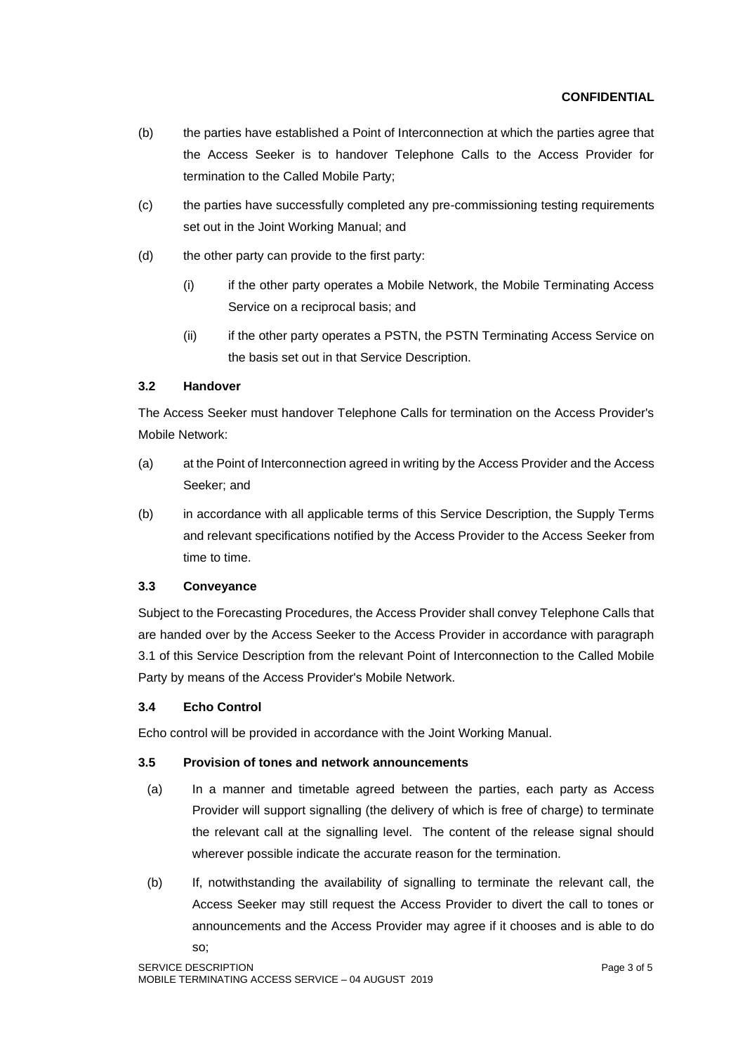## **CONFIDENTIAL**

- (b) the parties have established a Point of Interconnection at which the parties agree that the Access Seeker is to handover Telephone Calls to the Access Provider for termination to the Called Mobile Party;
- (c) the parties have successfully completed any pre-commissioning testing requirements set out in the Joint Working Manual; and
- (d) the other party can provide to the first party:
	- (i) if the other party operates a Mobile Network, the Mobile Terminating Access Service on a reciprocal basis; and
	- (ii) if the other party operates a PSTN, the PSTN Terminating Access Service on the basis set out in that Service Description.

## **3.2 Handover**

The Access Seeker must handover Telephone Calls for termination on the Access Provider's Mobile Network:

- (a) at the Point of Interconnection agreed in writing by the Access Provider and the Access Seeker; and
- (b) in accordance with all applicable terms of this Service Description, the Supply Terms and relevant specifications notified by the Access Provider to the Access Seeker from time to time.

## **3.3 Conveyance**

Subject to the Forecasting Procedures, the Access Provider shall convey Telephone Calls that are handed over by the Access Seeker to the Access Provider in accordance with paragraph 3.1 of this Service Description from the relevant Point of Interconnection to the Called Mobile Party by means of the Access Provider's Mobile Network.

## **3.4 Echo Control**

Echo control will be provided in accordance with the Joint Working Manual.

## **3.5 Provision of tones and network announcements**

- (a) In a manner and timetable agreed between the parties, each party as Access Provider will support signalling (the delivery of which is free of charge) to terminate the relevant call at the signalling level. The content of the release signal should wherever possible indicate the accurate reason for the termination.
- (b) If, notwithstanding the availability of signalling to terminate the relevant call, the Access Seeker may still request the Access Provider to divert the call to tones or announcements and the Access Provider may agree if it chooses and is able to do so;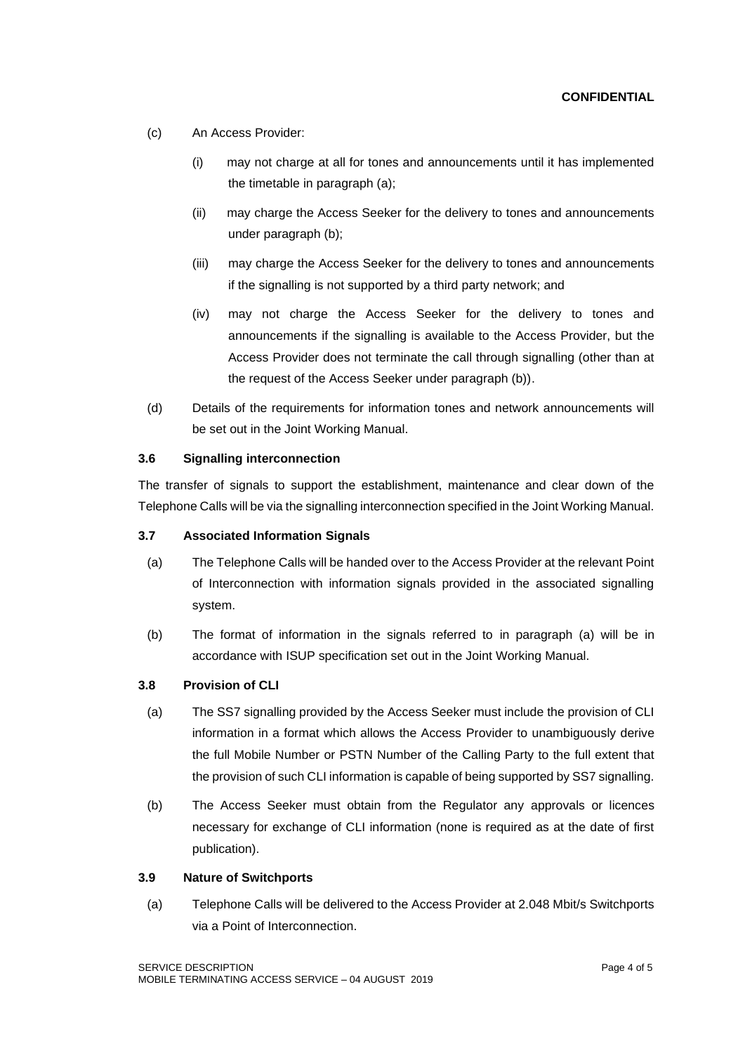- (c) An Access Provider:
	- (i) may not charge at all for tones and announcements until it has implemented the timetable in paragraph (a);
	- (ii) may charge the Access Seeker for the delivery to tones and announcements under paragraph (b);
	- (iii) may charge the Access Seeker for the delivery to tones and announcements if the signalling is not supported by a third party network; and
	- (iv) may not charge the Access Seeker for the delivery to tones and announcements if the signalling is available to the Access Provider, but the Access Provider does not terminate the call through signalling (other than at the request of the Access Seeker under paragraph (b)).
- (d) Details of the requirements for information tones and network announcements will be set out in the Joint Working Manual.

#### **3.6 Signalling interconnection**

The transfer of signals to support the establishment, maintenance and clear down of the Telephone Calls will be via the signalling interconnection specified in the Joint Working Manual.

#### **3.7 Associated Information Signals**

- (a) The Telephone Calls will be handed over to the Access Provider at the relevant Point of Interconnection with information signals provided in the associated signalling system.
- (b) The format of information in the signals referred to in paragraph (a) will be in accordance with ISUP specification set out in the Joint Working Manual.

## **3.8 Provision of CLI**

- (a) The SS7 signalling provided by the Access Seeker must include the provision of CLI information in a format which allows the Access Provider to unambiguously derive the full Mobile Number or PSTN Number of the Calling Party to the full extent that the provision of such CLI information is capable of being supported by SS7 signalling.
- (b) The Access Seeker must obtain from the Regulator any approvals or licences necessary for exchange of CLI information (none is required as at the date of first publication).

#### **3.9 Nature of Switchports**

(a) Telephone Calls will be delivered to the Access Provider at 2.048 Mbit/s Switchports via a Point of Interconnection.